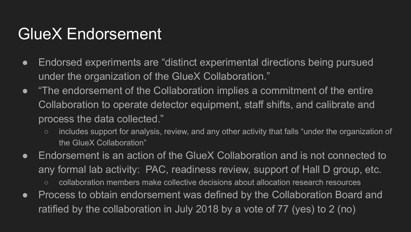## GlueX Endorsement

- Endorsed experiments are "distinct experimental directions being pursued under the organization of the GlueX Collaboration."
- "The endorsement of the Collaboration implies a commitment of the entire Collaboration to operate detector equipment, staff shifts, and calibrate and process the data collected."
	- includes support for analysis, review, and any other activity that falls "under the organization of the GlueX Collaboration"
- Endorsement is an action of the GlueX Collaboration and is not connected to any formal lab activity: PAC, readiness review, support of Hall D group, etc.
	- collaboration members make collective decisions about allocation research resources
- Process to obtain endorsement was defined by the Collaboration Board and ratified by the collaboration in July 2018 by a vote of 77 (yes) to 2 (no)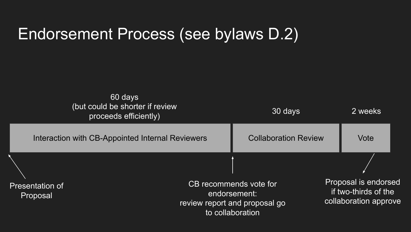## Endorsement Process (see bylaws D.2)

| 60 days<br>(but could be shorter if review<br>proceeds efficiently) |                                                  | 30 days                                                                                     |                             | 2 weeks                                                               |  |  |
|---------------------------------------------------------------------|--------------------------------------------------|---------------------------------------------------------------------------------------------|-----------------------------|-----------------------------------------------------------------------|--|--|
|                                                                     | Interaction with CB-Appointed Internal Reviewers |                                                                                             | <b>Collaboration Review</b> | Vote                                                                  |  |  |
|                                                                     |                                                  |                                                                                             |                             |                                                                       |  |  |
| Presentation of<br>Proposal                                         |                                                  | CB recommends vote for<br>endorsement:<br>review report and proposal go<br>to collaboration |                             | Proposal is endorsed<br>if two-thirds of the<br>collaboration approve |  |  |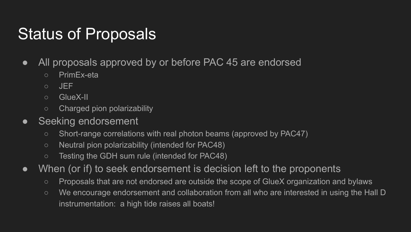## Status of Proposals

- All proposals approved by or before PAC 45 are endorsed
	- PrimEx-eta
	- JEF
	- GlueX-II
	- Charged pion polarizability
- Seeking endorsement
	- Short-range correlations with real photon beams (approved by PAC47)
	- Neutral pion polarizability (intended for PAC48)
	- Testing the GDH sum rule (intended for PAC48)
- When (or if) to seek endorsement is decision left to the proponents
	- Proposals that are not endorsed are outside the scope of GlueX organization and bylaws
	- We encourage endorsement and collaboration from all who are interested in using the Hall D instrumentation: a high tide raises all boats!